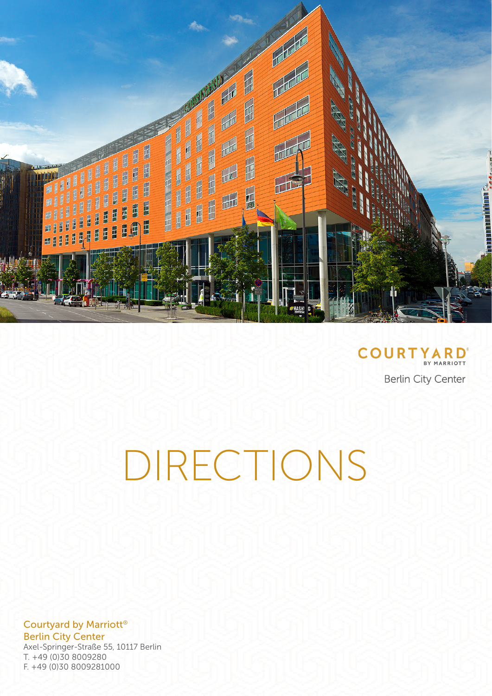

**COURTYARD Berlin City Center** 

DIRECTIONS

Courtyard by Marriott® Berlin City Center Axel-Springer-Straße 55, 10117 Berlin T. +49 (0)30 8009280 F. +49 (0)30 8009281000